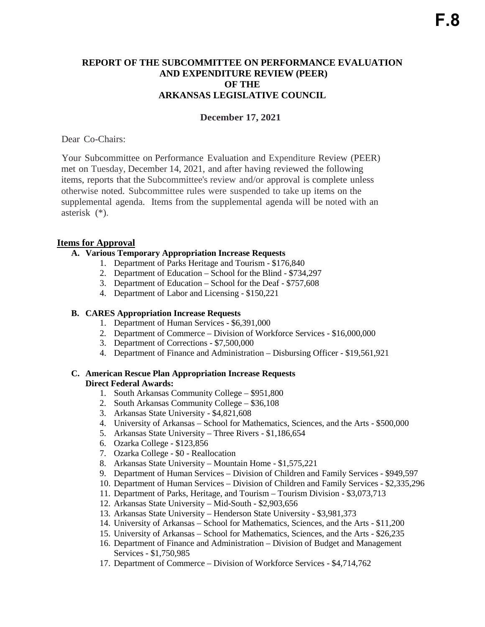# **REPORT OF THE SUBCOMMITTEE ON PERFORMANCE EVALUATION AND EXPENDITURE REVIEW (PEER) OF THE ARKANSAS LEGISLATIVE COUNCIL**

# **December 17, 2021**

Dear Co-Chairs:

Your Subcommittee on Performance Evaluation and Expenditure Review (PEER) met on Tuesday, December 14, 2021, and after having reviewed the following items, reports that the Subcommittee's review and/or approval is complete unless otherwise noted. Subcommittee rules were suspended to take up items on the supplemental agenda. Items from the supplemental agenda will be noted with an asterisk (\*).

## **Items for Approval**

## **A. Various Temporary Appropriation Increase Requests**

- 1. Department of Parks Heritage and Tourism \$176,840
- 2. Department of Education School for the Blind \$734,297
- 3. Department of Education School for the Deaf \$757,608
- 4. Department of Labor and Licensing \$150,221

### **B. CARES Appropriation Increase Requests**

- 1. Department of Human Services \$6,391,000
- 2. Department of Commerce Division of Workforce Services \$16,000,000
- 3. Department of Corrections \$7,500,000
- 4. Department of Finance and Administration Disbursing Officer \$19,561,921

## **C. American Rescue Plan Appropriation Increase Requests Direct Federal Awards:**

- 1. South Arkansas Community College \$951,800
- 2. South Arkansas Community College \$36,108
- 3. Arkansas State University \$4,821,608
- 4. University of Arkansas School for Mathematics, Sciences, and the Arts \$500,000
- 5. Arkansas State University Three Rivers \$1,186,654
- 6. Ozarka College \$123,856
- 7. Ozarka College \$0 Reallocation
- 8. Arkansas State University Mountain Home \$1,575,221
- 9. Department of Human Services Division of Children and Family Services \$949,597
- 10. Department of Human Services Division of Children and Family Services \$2,335,296
- 11. Department of Parks, Heritage, and Tourism Tourism Division \$3,073,713
- 12. Arkansas State University Mid-South \$2,903,656
- 13. Arkansas State University Henderson State University \$3,981,373
- 14. University of Arkansas School for Mathematics, Sciences, and the Arts \$11,200
- 15. University of Arkansas School for Mathematics, Sciences, and the Arts \$26,235
- 16. Department of Finance and Administration Division of Budget and Management Services - \$1,750,985
- 17. Department of Commerce Division of Workforce Services \$4,714,762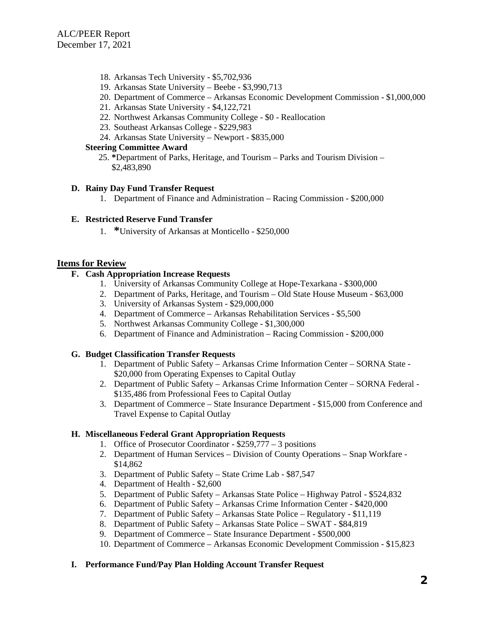- 18. Arkansas Tech University \$5,702,936
- 19. Arkansas State University Beebe \$3,990,713
- 20. Department of Commerce Arkansas Economic Development Commission \$1,000,000
- 21. Arkansas State University \$4,122,721
- 22. Northwest Arkansas Community College \$0 Reallocation
- 23. Southeast Arkansas College \$229,983
- 24. Arkansas State University Newport \$835,000

#### **Steering Committee Award**

 25. **\***Department of Parks, Heritage, and Tourism – Parks and Tourism Division – \$2,483,890

#### **D. Rainy Day Fund Transfer Request**

1. Department of Finance and Administration – Racing Commission - \$200,000

#### **E. Restricted Reserve Fund Transfer**

1. **\***University of Arkansas at Monticello - \$250,000

### **Items for Review**

# **F. Cash Appropriation Increase Requests**

- 1. University of Arkansas Community College at Hope-Texarkana \$300,000
- 2. Department of Parks, Heritage, and Tourism Old State House Museum \$63,000
- 3. University of Arkansas System \$29,000,000
- 4. Department of Commerce Arkansas Rehabilitation Services \$5,500
- 5. Northwest Arkansas Community College \$1,300,000
- 6. Department of Finance and Administration Racing Commission \$200,000

### **G. Budget Classification Transfer Requests**

- 1. Department of Public Safety Arkansas Crime Information Center SORNA State \$20,000 from Operating Expenses to Capital Outlay
- 2. Department of Public Safety Arkansas Crime Information Center SORNA Federal \$135,486 from Professional Fees to Capital Outlay
- 3. Department of Commerce State Insurance Department \$15,000 from Conference and Travel Expense to Capital Outlay

### **H. Miscellaneous Federal Grant Appropriation Requests**

- 1. Office of Prosecutor Coordinator \$259,777 3 positions
- 2. Department of Human Services Division of County Operations Snap Workfare \$14,862
- 3. Department of Public Safety State Crime Lab \$87,547
- 4. Department of Health \$2,600
- 5. Department of Public Safety Arkansas State Police Highway Patrol \$524,832
- 6. Department of Public Safety Arkansas Crime Information Center \$420,000
- 7. Department of Public Safety Arkansas State Police Regulatory \$11,119
- 8. Department of Public Safety Arkansas State Police SWAT \$84,819
- 9. Department of Commerce State Insurance Department \$500,000
- 10. Department of Commerce Arkansas Economic Development Commission \$15,823

### **I. Performance Fund/Pay Plan Holding Account Transfer Request**